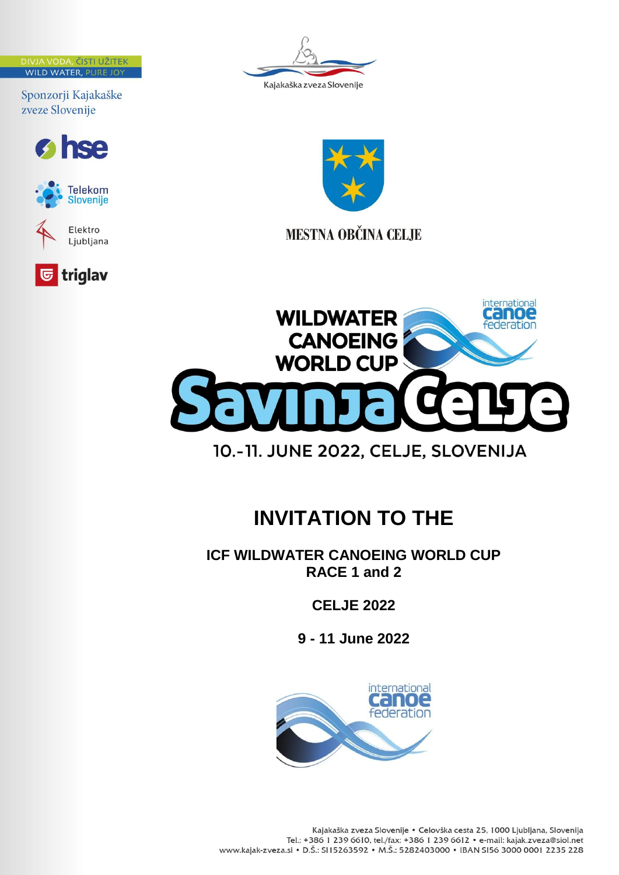DIVJA VODA, ČISTI UŽITEK **WILD WATER, PURE JOY** 

Sponzorji Kajakaške zveze Slovenije













**MESTNA OBČINA CELJE** 



## **INVITATION TO THE**

**ICF WILDWATER CANOEING WORLD CUP RACE 1 and 2** 

**CELJE 2022**

**9 - 11 June 2022**

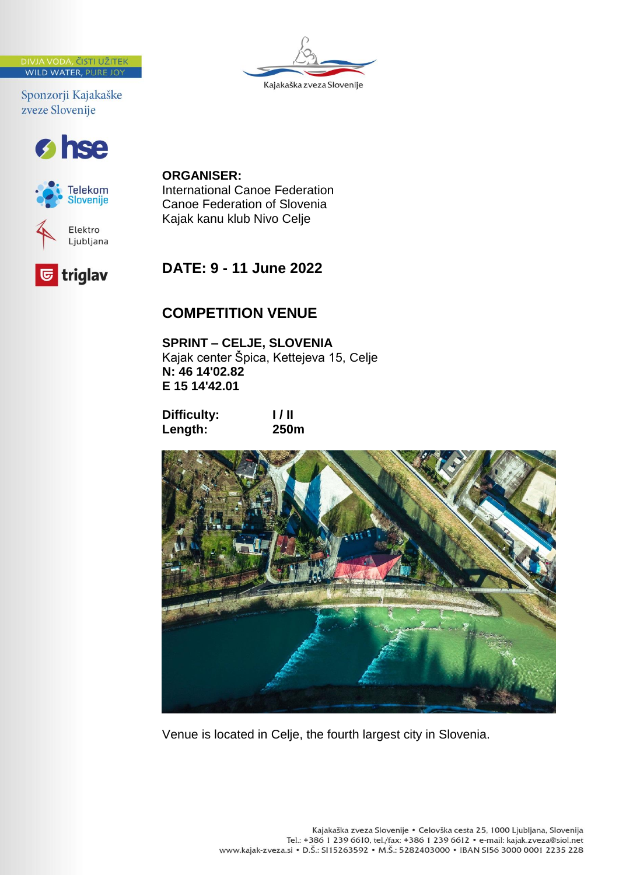JA VODA, ČISTI UŽITEK **WILD WATER, PURE JO** 

Sponzorji Kajakaške zveze Slovenije







# Kajakaška zveza Slovenije

## **ORGANISER:**

International Canoe Federation Canoe Federation of Slovenia Kajak kanu klub Nivo Celje

## **DATE: 9 - 11 June 2022**

## **COMPETITION VENUE**

**SPRINT – CELJE, SLOVENIA** Kajak center Špica, Kettejeva 15, Celje **N: 46 14'02.82 E 15 14'42.01**

**Difficulty:** I/II<br>Length: 250m Length:



Venue is located in Celje, the fourth largest city in Slovenia.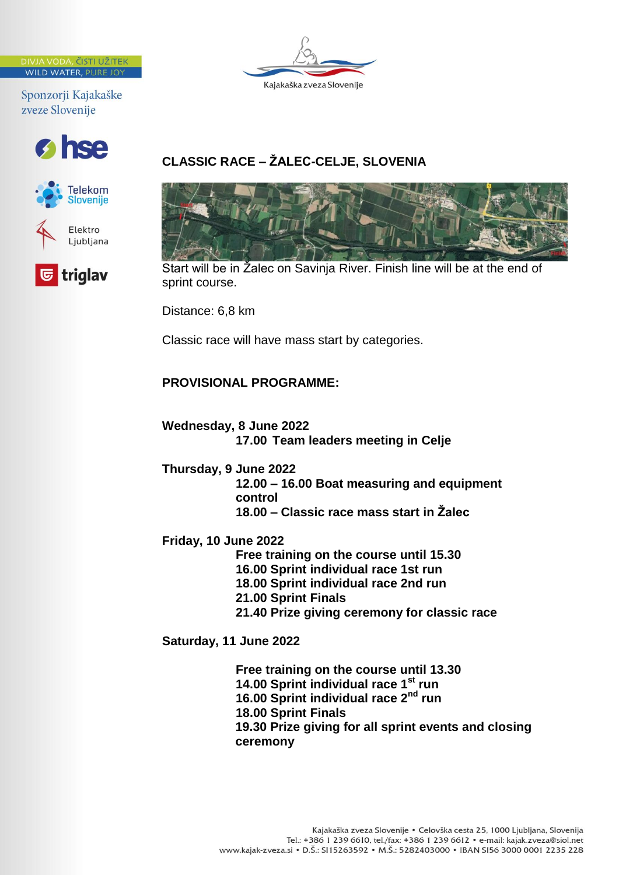**A VODA, ČISTI UŽITEK WILD WATER, PURE JO** 

Sponzorji Kajakaške zveze Slovenije







### **CLASSIC RACE – ŽALEC-CELJE, SLOVENIA**



Start will be in Žalec on Savinja River. Finish line will be at the end of sprint course.

Distance: 6,8 km

Classic race will have mass start by categories.

#### **PROVISIONAL PROGRAMME:**

**Wednesday, 8 June 2022 17.00 Team leaders meeting in Celje**

**Thursday, 9 June 2022**

**12.00 – 16.00 Boat measuring and equipment control** 

**18.00 – Classic race mass start in Žalec**

**Friday, 10 June 2022**

**Free training on the course until 15.30 16.00 Sprint individual race 1st run 18.00 Sprint individual race 2nd run 21.00 Sprint Finals 21.40 Prize giving ceremony for classic race**

**Saturday, 11 June 2022**

**Free training on the course until 13.30 14.00 Sprint individual race 1st run 16.00 Sprint individual race 2nd run 18.00 Sprint Finals 19.30 Prize giving for all sprint events and closing ceremony**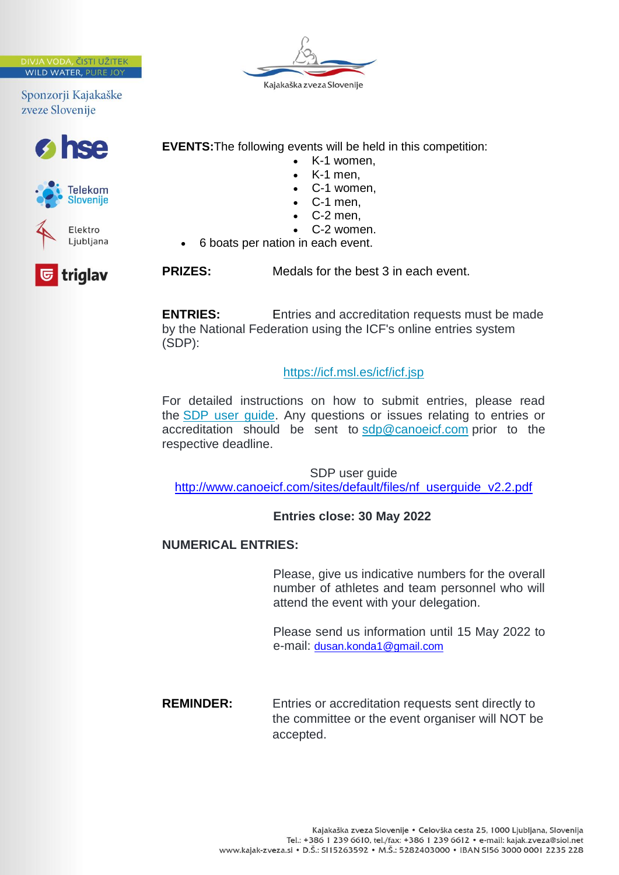JA VODA, ČISTI UŽITEK WILD WATER, PURE JOT

Sponzorji Kajakaške zveze Slovenije









**EVENTS:**The following events will be held in this competition:

- K-1 women,
- K-1 men,
- C-1 women,
- C-1 men,
- C-2 men,
- C-2 women.
- 6 boats per nation in each event.

**PRIZES:** Medals for the best 3 in each event.

**ENTRIES:** Entries and accreditation requests must be made by the National Federation using the ICF's online entries system (SDP):

<https://icf.msl.es/icf/icf.jsp>

For detailed instructions on how to submit entries, please read the [SDP user guide.](https://federations.canoeicf.com/sites/default/files/nf_userguide_v2.2.pdf) Any questions or issues relating to entries or accreditation should be sent to [sdp@canoeicf.com](mailto:sdp@canoeicf.com) prior to the respective deadline.

SDP user guide [http://www.canoeicf.com/sites/default/files/nf\\_userguide\\_v2.2.pdf](http://www.canoeicf.com/sites/default/files/nf_userguide_v2.2.pdf)

#### **Entries close: 30 May 2022**

#### **NUMERICAL ENTRIES:**

Please, give us indicative numbers for the overall number of athletes and team personnel who will attend the event with your delegation.

Please send us information until 15 May 2022 to e-mail: [dusan.konda1@gmail.com](mailto:dusan.konda1@gmail.com)

**REMINDER:** Entries or accreditation requests sent directly to the committee or the event organiser will NOT be accepted.

triglav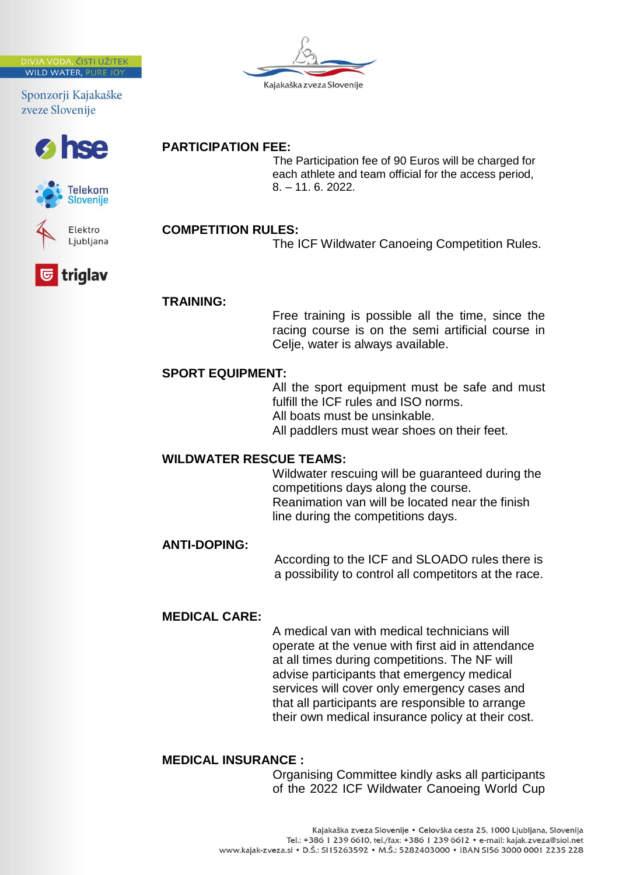**A VODA, ČISTI UŽITEK WILD WATER, PURE JO** 

Sponzorji Kajakaške zveze Slovenije







triglav



**PARTICIPATION FEE:**

The ICF Wildwater Canoeing Competition Rules.

The Participation fee of 90 Euros will be charged for each athlete and team official for the access period,

#### **TRAINING:**

Free training is possible all the time, since the racing course is on the semi artificial course in Celje, water is always available.

#### **SPORT EQUIPMENT:**

All the sport equipment must be safe and must fulfill the ICF rules and ISO norms. All boats must be unsinkable. All paddlers must wear shoes on their feet.

#### **WILDWATER RESCUE TEAMS:**

Wildwater rescuing will be guaranteed during the competitions days along the course. Reanimation van will be located near the finish line during the competitions days.

#### **ANTI-DOPING:**

According to the ICF and SLOADO rules there is a possibility to control all competitors at the race.

#### **MEDICAL CARE:**

A medical van with medical technicians will operate at the venue with first aid in attendance at all times during competitions. The NF will advise participants that emergency medical services will cover only emergency cases and that all participants are responsible to arrange their own medical insurance policy at their cost.

#### **MEDICAL INSURANCE :**

Organising Committee kindly asks all participants of the 2022 ICF Wildwater Canoeing World Cup



8. – 11. 6. 2022.